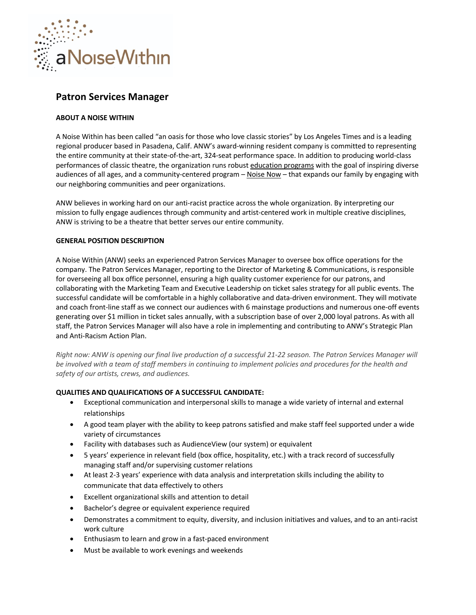

# **Patron Services Manager**

# **ABOUT A NOISE WITHIN**

A Noise Within has been called "an oasis for those who love classic stories" by Los Angeles Times and is a leading regional producer based in Pasadena, Calif. ANW's award-winning resident company is committed to representing the entire community at their state-of-the-art, 324-seat performance space. In addition to producing world-class performances of classic theatre, the organization runs robust education programs with the goal of inspiring diverse audiences of all ages, and a community-centered program - Noise Now - that expands our family by engaging with our neighboring communities and peer organizations.

ANW believes in working hard on our anti-racist practice across the whole organization. By interpreting our mission to fully engage audiences through community and artist-centered work in multiple creative disciplines, ANW is striving to be a theatre that better serves our entire community.

# **GENERAL POSITION DESCRIPTION**

A Noise Within (ANW) seeks an experienced Patron Services Manager to oversee box office operations for the company. The Patron Services Manager, reporting to the Director of Marketing & Communications, is responsible for overseeing all box office personnel, ensuring a high quality customer experience for our patrons, and collaborating with the Marketing Team and Executive Leadership on ticket sales strategy for all public events. The successful candidate will be comfortable in a highly collaborative and data-driven environment. They will motivate and coach front-line staff as we connect our audiences with 6 mainstage productions and numerous one-off events generating over \$1 million in ticket sales annually, with a subscription base of over 2,000 loyal patrons. As with all staff, the Patron Services Manager will also have a role in implementing and contributing to ANW's Strategic Plan and Anti-Racism Action Plan.

*Right now: ANW is opening our final live production of a successful 21-22 season. The Patron Services Manager will be involved with a team of staff members in continuing to implement policies and procedures for the health and safety of our artists, crews, and audiences.*

### **QUALITIES AND QUALIFICATIONS OF A SUCCESSFUL CANDIDATE:**

- Exceptional communication and interpersonal skills to manage a wide variety of internal and external relationships
- A good team player with the ability to keep patrons satisfied and make staff feel supported under a wide variety of circumstances
- Facility with databases such as AudienceView (our system) or equivalent
- 5 years' experience in relevant field (box office, hospitality, etc.) with a track record of successfully managing staff and/or supervising customer relations
- At least 2-3 years' experience with data analysis and interpretation skills including the ability to communicate that data effectively to others
- Excellent organizational skills and attention to detail
- Bachelor's degree or equivalent experience required
- Demonstrates a commitment to equity, diversity, and inclusion initiatives and values, and to an anti-racist work culture
- Enthusiasm to learn and grow in a fast-paced environment
- Must be available to work evenings and weekends